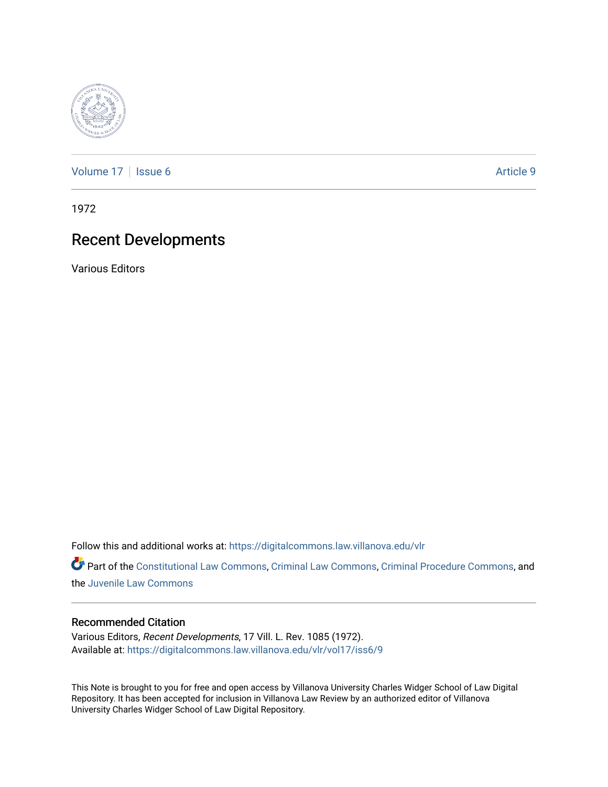

[Volume 17](https://digitalcommons.law.villanova.edu/vlr/vol17) | [Issue 6](https://digitalcommons.law.villanova.edu/vlr/vol17/iss6) Article 9

1972

# Recent Developments

Various Editors

Follow this and additional works at: [https://digitalcommons.law.villanova.edu/vlr](https://digitalcommons.law.villanova.edu/vlr?utm_source=digitalcommons.law.villanova.edu%2Fvlr%2Fvol17%2Fiss6%2F9&utm_medium=PDF&utm_campaign=PDFCoverPages)

Part of the [Constitutional Law Commons,](http://network.bepress.com/hgg/discipline/589?utm_source=digitalcommons.law.villanova.edu%2Fvlr%2Fvol17%2Fiss6%2F9&utm_medium=PDF&utm_campaign=PDFCoverPages) [Criminal Law Commons,](http://network.bepress.com/hgg/discipline/912?utm_source=digitalcommons.law.villanova.edu%2Fvlr%2Fvol17%2Fiss6%2F9&utm_medium=PDF&utm_campaign=PDFCoverPages) [Criminal Procedure Commons](http://network.bepress.com/hgg/discipline/1073?utm_source=digitalcommons.law.villanova.edu%2Fvlr%2Fvol17%2Fiss6%2F9&utm_medium=PDF&utm_campaign=PDFCoverPages), and the [Juvenile Law Commons](http://network.bepress.com/hgg/discipline/851?utm_source=digitalcommons.law.villanova.edu%2Fvlr%2Fvol17%2Fiss6%2F9&utm_medium=PDF&utm_campaign=PDFCoverPages) 

## Recommended Citation

Various Editors, Recent Developments, 17 Vill. L. Rev. 1085 (1972). Available at: [https://digitalcommons.law.villanova.edu/vlr/vol17/iss6/9](https://digitalcommons.law.villanova.edu/vlr/vol17/iss6/9?utm_source=digitalcommons.law.villanova.edu%2Fvlr%2Fvol17%2Fiss6%2F9&utm_medium=PDF&utm_campaign=PDFCoverPages) 

This Note is brought to you for free and open access by Villanova University Charles Widger School of Law Digital Repository. It has been accepted for inclusion in Villanova Law Review by an authorized editor of Villanova University Charles Widger School of Law Digital Repository.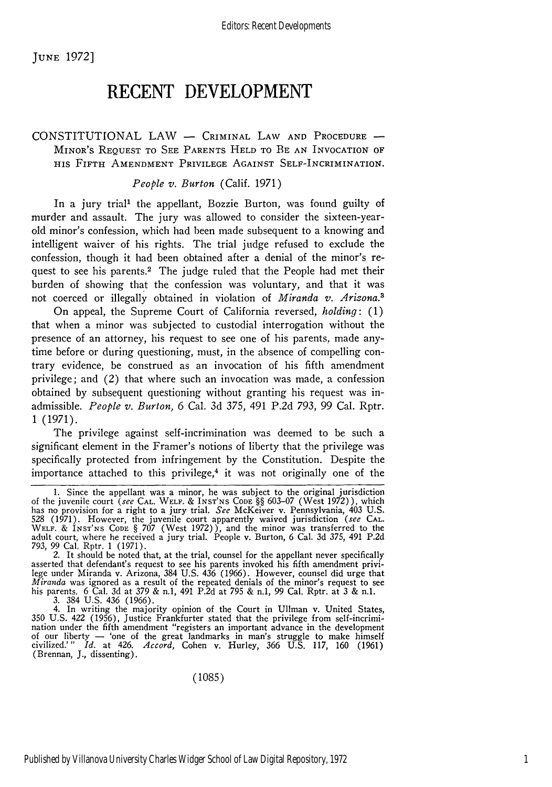JUNE 1972]

## **RECENT DEVELOPMENT**

## **CONSTITUTIONAL** LAW **-** CRIMINAL LAW **AND** PROCEDURE **-** MINOR'S REQUEST TO SEE PARENTS HELD TO BE AN INVOCATION OF HIS FIFTH AMENDMENT PRIVILEGE AGAINST SELF-INCRIMINATION.

## *People v. Burton* (Calif. 1971)

In a jury trial' the appellant, Bozzie Burton, was found guilty of murder and assault. The jury was allowed to consider the sixteen-yearold minor's confession, which had been made subsequent to a knowing and intelligent waiver of his rights. The trial judge refused to exclude the confession, though it had been obtained after a denial of the minor's request to see his parents.<sup>2</sup> The judge ruled that the People had met their burden of showing that the confession was voluntary, and that it was not coerced or illegally obtained in violation of *Miranda v. Arizona.3*

On appeal, the Supreme Court of California reversed, *holding:* (1) that when a minor was subjected to custodial interrogation without the presence of an attorney, his request to see one of his parents, made anytime before or during questioning, must, in the absence of compelling contrary evidence, be construed as an invocation of his fifth amendment privilege; and (2) that where such an invocation was made, a confession obtained by subsequent questioning without granting his request was inadmissible. *People v. Burton,* 6 Cal. 3d 375, 491 P.2d 793, 99 Cal. Rptr. **1 (1971).**

The privilege against self-incrimination was deemed to be such a significant element in the Framer's notions of liberty that the privilege was specifically protected from infringement by the Constitution. Despite the importance attached to this privilege, $4$  it was not originally one of the

asserted that defendant's request to see his parents invoked his fifth amendment privilege under Miranda v. Arizona, 384 U.S. 436 (1966). However, counsel did urge that *Miranda* was ignored as a result of the repeated denials of the minor's request to see his parents. 6 Cal. 3d at 379 & n.1, 491 P.2d at 795 & n.1, 99 Cal. Rptr. at 3 & n.l.

3. 384 U.S. 436 (1966). 4. In writing the majority opinion of the Court in Ullman v. United States, 350 U.S. 422 (1956), Justice Frankfurter stated that the privilege from self-incrimination under the fifth amendment "registers an important advance in the development of our liberty - 'one of the great landmarks in man's struggle to make himself civilized.'" *Id.* at 426. *Accord,* Cohen v. Hurley, 366 U.S. 117, 160 (1961) (Brennan, J., dissenting).

(1085)

<sup>1.</sup> Since the appellant was a minor, he was subject to the original jurisdiction of the juvenile court *(see* CAL. WELF. & INST'NS CODE §§ 603-07 (West 1972)), which has no provision for a right to a jury trial. *See* McKeiver v. Pennsylvania, 403 U.S. 528 (1971). However, the juvenile court apparently waived jurisdiction *(see* CAL. WELF. & INST'NS CODE § 707 (West 1972)), and the minor was transferred to the adult court, where he received a jury trial. People v. Burton, 6 Cal. 3d *375,* 491 P.2d 793, 99 Cal. Rptr. 1 (1971). 2. It should be noted that, at the trial, counsel for the appellant never specifically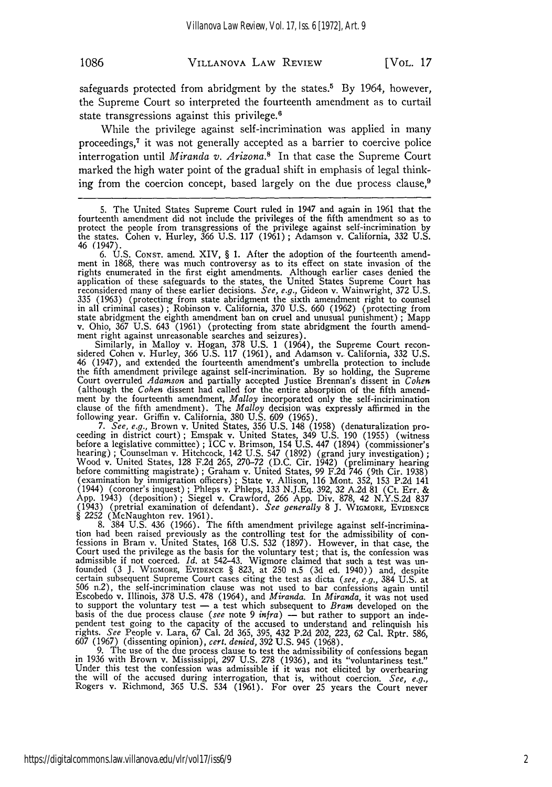safeguards protected from abridgment by the states.<sup>5</sup> By 1964, however, the Supreme Court so interpreted the fourteenth amendment as to curtail state transgressions against this privilege.<sup>6</sup>

While the privilege against self-incrimination was applied in many proceedings,<sup>7</sup> it was not generally accepted as a barrier to coercive police interrogation until *Miranda v. Arizona."* In that case the Supreme Court marked the high water point of the gradual shift in emphasis of legal thinking from the coercion concept, based largely on the due process clause, $\theta$ 

5. The United States Supreme Court ruled in 1947 and again in 1961 that the fourteenth amendment did not include the privileges of the fifth amendment so as to protect the people from transgressions of the privilege against self-incrimination by the states. Cohen v. Hurley, 366 U.S. 117 (1961) ; Adamson v. California, 332 U.S. 46 (1947).

6. U.S. CONST. amend. XIV, § 1. After the adoption of the fourteenth amend-ment in 1868, there was much controversy as to its effect on state invasion of the rights enumerated in the first eight amendments. Although earlier cases denied the application of these safeguards to the states, the United States Supreme Court has reconsidered many of these earlier decisions. *See,* e.g., Gideon v. Wainwright, 372 U.S. 335 (1963) (protecting from state abridgment the sixth amendment right to counsel in all criminal cases) ; Robinson v. California, 370 U.S. 660 (1962) (protecting from state abridgment the eighth amendment ban on cruel and unusual punishment) ; Mapp v. Ohio, 367 U.S. 643 (1961) (protecting from state abridgment the fourth amendment right against unreasonable searches and seizures).

Similarly, in Malloy v. Hogan, 378 U.S. 1 (1964), the Supreme Court recon-<br>sidered Cohen v. Hurley, 366 U.S. 117 (1961), and Adamson v. California, 332 U.S. 46 (1947), and extended the fourteenth amendment's umbrella protection to include the fifth amendment privilege against self-incrimination. By so holding, the Supreme Court overruled *Adamson* and partially accepted Justice Brennan's dissent in *Cohen* (although the *Cohen* dissent had called for the entire absorption of the fifth amendment by the fourteenth amendment, *Malloy* incorporated only the self-incirimination clause of the fifth amendment). The *Malloy* decision was expressly affirmed in the following year. Griffin v. California, 380 U.S. 609 (1965). *7. See, e.g.,* Brown v. United States, 356 U.S. 148 (1958) (denaturalization pro-

ceeding in district court) ; Emspak v. United States, 349 U.S. 190 (1955) (witness before a legislative committee) ; ICC v. Brimson, 154 U.S. 447 (1894) (commissioner's hearing) ; Counselman v. Hitchcock, 142 U.S. 547 (1892) (grand jury investigation) **;** Wood v. United States, 128 F.2d 265, 270-72 (D.C. Cir. 1942) (preliminary hearing before committing magistrate) ; Graham v. United States, 99 F.2d 746 (9th Cir. 1938) (examination by immigration officers); State v. Allison, 116 Mont. 352, 153 P.2d 141 (1944) (coroner's inquest); Phleps v. Phleps, 133 N.J.Eq. 392, 32 A.2d 81 (Ct. Err. & App. 1943) (deposition); Siegel v. Crawford, 266 Ap (1943) (pretrial examination of defendant). *See generally* 8 J. WIGMORE, EvIDENCE § 2252 (McNaughton rev. 1961).

8. 384 U.S. 436 (1966). The fifth amendment privilege against self-incrimination had been raised previously as the controlling test for the admissibility of con-<br>fessions in Bram v. United States, 168 U.S. 532 (1897). However, in that case, the Court used the privilege as the basis for the voluntary test; that is, the confession was<br>admissible if not coerced. *Id*. at 542–43. Wigmore claimed that such a test was un-<br>founded (3 J. WIGMORE, EVIDENCE § 823, at 250 certain subsequent Supreme Court cases citing the test as dicta *(see, e.g.,* 384 U.S. at 506 n.2), the self-incrimination clause was not used to bar confessions again until Escobedo v. Illinois, 378 U.S. 478 (1964), and *Miranda.* In *Miranda,* it was not used to support the voluntary test - a test which subsequent to *Brain* developed on the basis of the due process clause *(see* note 9 *infra)* **-** but rather to support an independent test going to the capacity of the accused to understand and relinquish his rights. *See* People v. Lara, 67 Cal. 2d 365, 395, 432 P.2d 202, 223, 62 Cal. Rptr. 586,

607 (1967) (dissenting opinion), cert. denied, 392 U.S. 945 (1968).<br>9. The use of the due process clause to test the admissibility of confessions began<br>in 1936 with Brown v. Mississippi, 297 U.S. 278 (1936), and its "volun Under this test the confession was admissible if it was not elicited by overbearing the will of the accused during interrogation, that is, without coercion. *See, e.g.,* Rogers v. Richmond, 365 U.S. 534 (1961). For over 25 years the Court never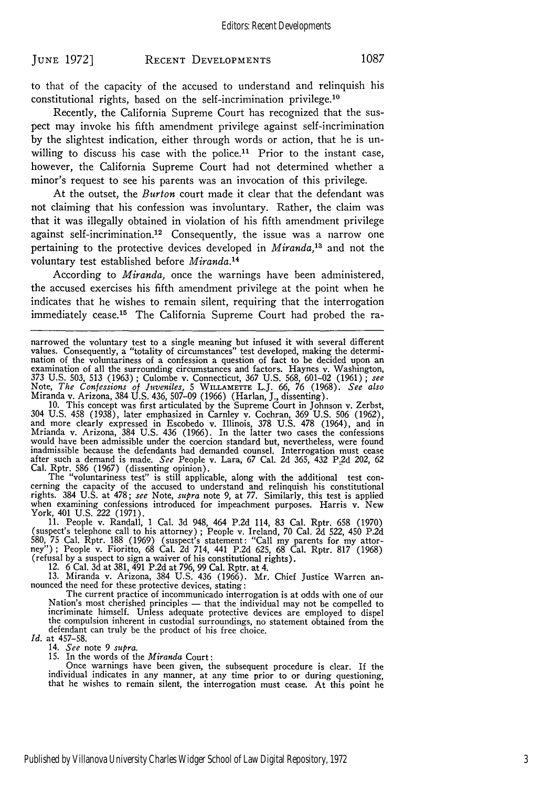to that of the capacity of the accused to understand and relinquish his constitutional rights, based on the self-incrimination privilege.<sup>10</sup>

Recently, the California Supreme Court has recognized that the suspect may invoke his fifth amendment privilege against self-incrimination by the slightest indication, either through words or action, that he is unwilling to discuss his case with the police.<sup>11</sup> Prior to the instant case, however, the California Supreme Court had not determined whether a minor's request to see his parents was an invocation of this privilege.

At the outset, the *Burton* court made it clear that the defendant was not claiming that his confession was involuntary. Rather, the claim was that it was illegally obtained in violation of his fifth amendment privilege against self-incrimination.<sup>12</sup> Consequently, the issue was a narrow one pertaining to the protective devices developed in *Miranda,3* and not the voluntary test established before *Miranda.14*

According to *Miranda,* once the warnings have been administered, the accused exercises his fifth amendment privilege at the point when he indicates that he wishes to remain silent, requiring that the interrogation immediately cease.15 The California Supreme Court had probed the ra-

Miranda v. Arizona, 384 U.S. 436, 507–09 (1966) (Harlan, J., dissenting).<br>10. This concept was first articulated by the Supreme Court in Johnson v. Zerbst,<br>304 U.S. 458 (1938), later emphasized in Carnley v. Cochran, 369 U Mrianda v. Arizona, 384 U.S. 436 (1966). In the latter two cases the confessions would have been admissible under the coercion standard but, nevertheless, were found inadmissible because the defendants had demanded counsel. Interrogation must cease after such a demand is made. *See* People v. Lara, 67 Cal. 2d 365, 432 P.2d 202, 62

Cal. Rptr. 586 (1967) (dissenting opinion).<br>The "voluntariness test" is still applicable, along with the additional test con-<br>cerning the capacity of the accused to understand and relinquish his constitutional rights. 384 U.S. at 478; *see* Note, *supra* note 9, at **77.** Similarly, this test is applied when examining confessions introduced for impeachment purposes. Harris v. New when examining confessions introduced for impeachment purposes. Harris v. New York,  $401$  U.S. 222 (1971).

11. People v. Randall, 1 Cal. 3d 948, 464 P.2d 114, 83 Cal. Rptr. 658 (1970) (suspect's telephone call to his attorney) ; People v. Ireland, 70 Cal. **2d** 522, 450 P.2d 580, 75 Cal. Rptr. 188 (1969) (suspect's statement: "Call my parents for my attor-(refusal by a suspect to sign a waiver of his constitutional rights).<br>12. 6 Cal. 3d at 381, 491 P.2d at 796, 99 Cal. Rptr. at 4.<br>13. Miranda v. Arizona, 384 U.S. 436 (1966). Mr. Chief Justice Warren an-

nounced the need for these protective devices, stating :<br>The current practice of incommunicado interrogation is at odds with one of our<br>Nation's most cherished principles — that the individual may not be compelled to<br>incri defendant can truly be the product of his free choice.

*Id.* at 457-58.

14. *See* note 9 *supra.* 15. In the words of the *Miranda* Court:

Once warnings have been given, the subsequent procedure is clear. If the individual indicates in any manner, at any time prior to or during questioning, that he wishes to remain silent, the interrogation must cease. At thi

narrowed the voluntary test to a single meaning but infused it with several different values. Consequently, a "totality of circumstances" test developed, making the determination of the voluntariness of a confession a question of fact to be decided upon an examination of all the surrounding circumstances and factors. Haynes v. Washington, 373 U.S. 503, 513 (1963); Culombe v. Connecticut, 367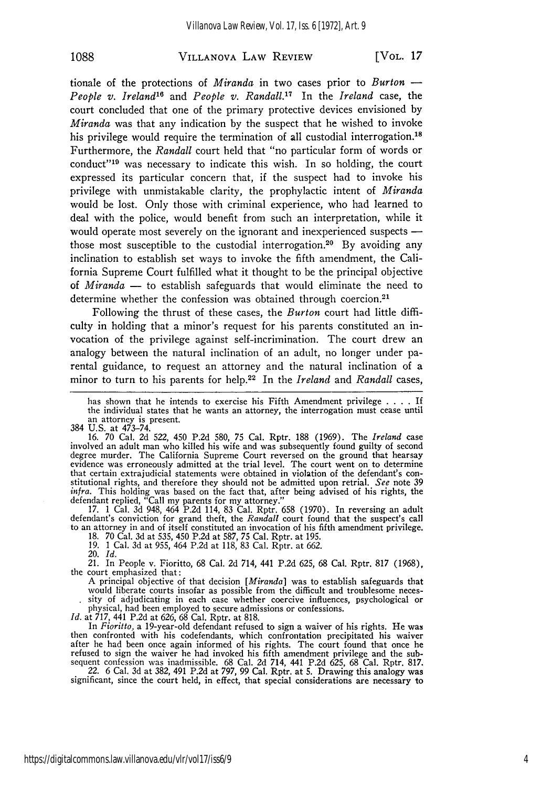#### VILLANOVA LAW REVIEW **1088** [VOL. *17*

tionale of the protections of *Miranda* in two cases prior to *Burton* **-** *People v. Ireland'6* and *People v. Randall.17* In the *Ireland* case, the court concluded that one of the primary protective devices envisioned by *Miranda* was that any indication by the suspect that he wished to invoke his privilege would require the termination of all custodial interrogation.<sup>18</sup> Furthermore, the *Randall* court held that "no particular form of words or conduct"<sup>19</sup> was necessary to indicate this wish. In so holding, the court expressed its particular concern that, if the suspect had to invoke his privilege with unmistakable clarity, the prophylactic intent of *Miranda* would be lost. Only those with criminal experience, who had learned to deal with the police, would benefit from such an interpretation, while it would operate most severely on the ignorant and inexperienced suspects  those most susceptible to the custodial interrogation.<sup>20</sup> By avoiding any inclination to establish set ways to invoke the fifth amendment, the California Supreme Court fulfilled what it thought to be the principal objective of *Miranda* - to establish safeguards that would eliminate the need to determine whether the confession was obtained through coercion.<sup>21</sup>

Following the thrust of these cases, the *Burton* court had little difficulty in holding that a minor's request for his parents constituted an invocation of the privilege against self-incrimination. The court drew an analogy between the natural inclination of an adult, no longer under parental guidance, to request an attorney and the natural inclination of a minor to turn to his parents for help.22 In the *Ireland* and *Randall* cases,

has shown that he intends to exercise his Fifth Amendment privilege **....** If the individual states that he wants an attorney, the interrogation must cease until an attorney is present.

384 U.S. at 473-74. 16. 70 Cal. 2d 522, 450 P.2d 580, 75 Cal. Rptr. 188 (1969). The *Ireland* case involved an adult man who killed his wife and was subsequently found guilty of second degree murder. The California Supreme Court reversed on the ground that hearsay evidence was erroneously admitted at the trial level. The court went on to determine that certain extrajudicial statements were obtained in violation of the defendant's con- stitutional rights, and therefore they should not be admitted upon retrial. *See* note 39 *infra.* This holding was based on the fact that, after being advised of his rights, the

defendant replied, "Call my parents for my attorney."<br>17. 1 Cal. 3d 948, 464 P.2d 114, 83 Cal. Rptr. 658 (1970). In reversing an adult<br>defendant's conviction for grand theft, the *Randall* court found that the suspect's ca to an attorney in and of itself constituted an invocation of his fifth amendment privilege.

18. 70 Cal. 3d at 535, 450 P.2d at 587, 75 Cal. Rptr. at 195. 19. 1 Cal. 3d at 955, 464 P.2d at 118, 83 Cal. Rptr. at 662.

20. *Id.*

21. In People v. Fioritto, 68 Cal. 2d 714, 441 P.2d 625, 68 Cal. Rptr. 817 (1968), the court emphasized that:

A principal objective of that decision *[Miranda]* was to establish safeguards that sity of adjudicating in each case whether coercive influences, psychological or physical, had been employed to secure admissions or confessions.<br>*Id.* at 717, 441 P.2d at 626, 68 Cal. Rptr. at 818.<br>In Fioritto, a 19-year-old defendant refused to sign a waiver of his rights. He was

In *Fioritto*, a 19-year-old defendant refused to sign a waiver of his rights. He was then confronted with his codefendants, which confrontation precipitated his waiver after he had been once again informed of his rights. The court found that once he refused to sign the waiver he had invoked his fifth amendment privilege and the sub-

sequent confession was inadmissible. 68 Cal. 2d 714, 441 P.2d 625, 68 Cal. Rptr. 817.<br>22. 6 Cal. 3d at 382, 491 P.2d at 797, 99 Cal. Rptr. at 5. Drawing this analogy was<br>significant, since the court held, in effect, that s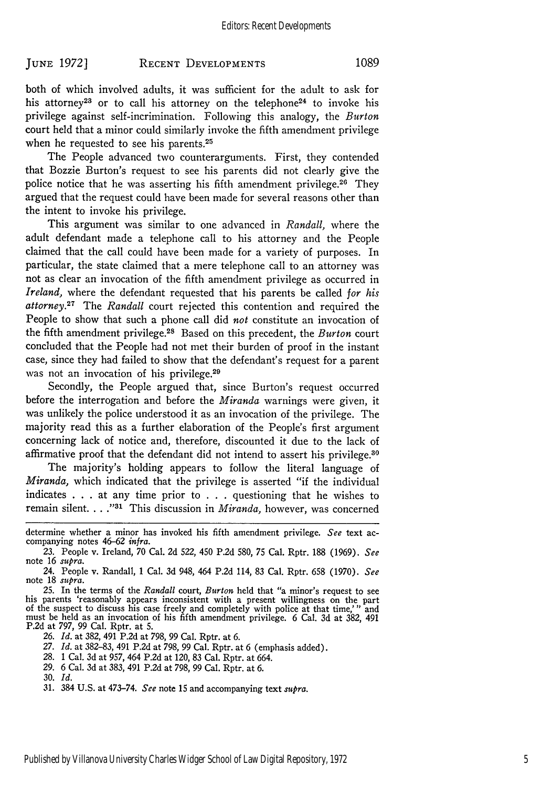#### **RECENT DEVELOPMENTS JUNE. 1972] 1089**

both of which involved adults, it was sufficient for the adult to ask for his attorney<sup>23</sup> or to call his attorney on the telephone<sup>24</sup> to invoke his privilege against self-incrimination. Following this analogy, the *Burton* court held that a minor could similarly invoke the fifth amendment privilege when he requested to see his parents.<sup>25</sup>

The People advanced two counterarguments. First, they contended that Bozzie Burton's request to see his parents did not clearly give the police notice that he was asserting his fifth amendment privilege.26 They argued that the request could have been made for several reasons other than the intent to invoke his privilege.

This argument was similar to one advanced in *Randall,* where the adult defendant made a telephone call to his attorney and the People claimed that the call could have been made for a variety of purposes. In particular, the state claimed that a mere telephone call to an attorney was not as clear an invocation of the fifth amendment privilege as occurred in *Ireland,* where the defendant requested that his parents be called *for his attorney.27* The *Randall* court rejected this contention and required the People to show that such a phone call did *not* constitute an invocation of the fifth amendment privilege. 28 Based on this precedent, the *Burton* court concluded that the People had not met their burden of proof in the instant case, since they had failed to show that the defendant's request for a parent was not an invocation of his privilege.<sup>29</sup>

Secondly, the People argued that, since Burton's request occurred before the interrogation and before the *Miranda* warnings were given, it was unlikely the police understood it as an invocation of the privilege. The majority read this as a further elaboration of the People's first argument concerning lack of notice and, therefore, discounted it due to the lack of affirmative proof that the defendant did not intend to assert his privilege.<sup>30</sup>

The majority's holding appears to follow the literal language of *Miranda,* which indicated that the privilege is asserted "if the individual indicates . . . at any time prior to . . . questioning that he wishes to remain silent. . . . "<sup>31</sup> This discussion in *Miranda*, however, was concerned

- 28. 1 Cal. 3d at 957, 464 P.2d at 120, 83 Cal. Rptr. at 664.
- 29. 6 Cal. 3d at 383, 491 P.2d at 798, 99 Cal. Rptr. at 6.

determine whether a minor has invoked his fifth amendment privilege. *See* text ac- companying notes 46-62 *infra.*

<sup>23.</sup> People v. Ireland, 70 Cal. 2d 522, 450 P.2d 580, 75 Cal. Rptr. 188 (1969). *See* note 16 supra.

<sup>24.</sup> People v. Randall, 1 Cal. 3d 948, 464 P.2d 114, 83 Cal. Rptr. 658 (1970). *See* note 18 supra.

<sup>25.</sup> In the terms of the *Randall* court, *Burton* held that "a minor's request to see<br>his parents 'reasonably appears inconsistent with a present willingness on the part<br>of the suspect to discuss his case freely and compl P.2d at 797, 99 Cal. Rptr. at 5.

<sup>26.</sup> *Id.* at 382, 491 P.2d at 798, 99 Cal. Rptr. at 6.

<sup>27.</sup> *Id.* at 382-83, 491 P.2d at 798, 99 Cal. Rptr. at 6 (emphasis added).

**<sup>30.</sup>** Id.

<sup>31. 384</sup> U.S. at 473-74. *See* note 15 and accompanying text *supra.*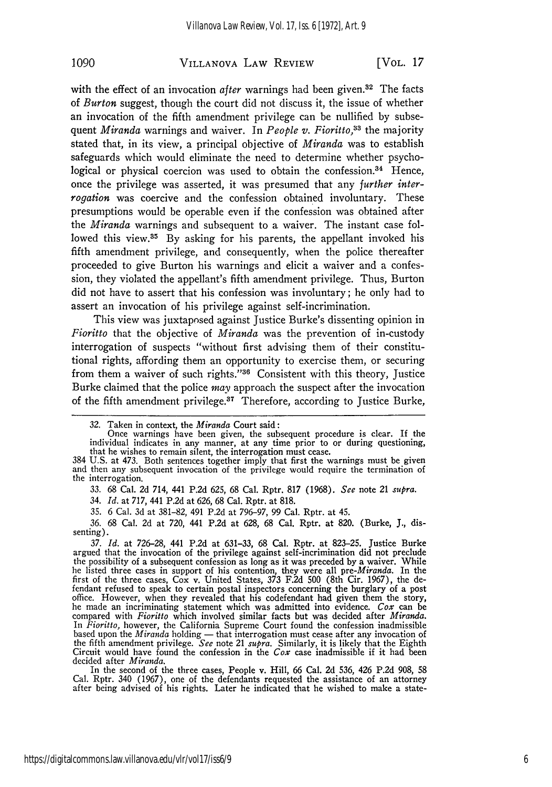#### VILLANOVA LAW REVIEW **1090** [VOL. *17*

with the effect of an invocation *after* warnings had been given.<sup>32</sup> The facts of *Burton* suggest, though the court did not discuss it, the issue of whether an invocation of the fifth amendment privilege can be nullified by subsequent *Miranda* warnings and waiver. In *People v. Fioritto,33* the majority stated that, in its view, a principal objective of *Miranda* was to establish safeguards which would eliminate the need to determine whether psychological or physical coercion was used to obtain the confession.<sup>34</sup> Hence, once the privilege was asserted, it was presumed that any *further interrogation* was coercive and the confession obtained involuntary. These presumptions would be operable even if the confession was obtained after the *Miranda* warnings and subsequent to a waiver. The instant case followed this view.<sup>35</sup> By asking for his parents, the appellant invoked his fifth amendment privilege, and consequently, when the police thereafter proceeded to give Burton his warnings and elicit a waiver and a confession, they violated the appellant's fifth amendment privilege. Thus, Burton did not have to assert that his confession was involuntary; he only had to assert an invocation of his privilege against self-incrimination.

This view was juxtaposed against Justice Burke's dissenting opinion in *Fioritto* that the objective of *Miranda* was the prevention of in-custody interrogation of suspects "without first advising them of their constitutional rights, affording them an opportunity to exercise them, or securing from them a waiver of such rights."<sup>36</sup> Consistent with this theory, Justice Burke claimed that the police *may* approach the suspect after the invocation of the fifth amendment privilege.<sup>37</sup> Therefore, according to Justice Burke,

34. *Id.* at 717, 441 P.2d at 626, 68 Cal. Rptr. at 818.

35. 6 Cal. 3d at 381-82, 491 P.2d at 796-97, 99 Cal. Rptr. at 45.

36. 68 Cal. 2d at 720, 441 P.2d at 628, 68 Cal. Rptr. at 820. (Burke, **J.,** dissenting).

*37. Id.* at 726-28, 441 P.2d at 631-33, 68 Cal. Rptr. at 823-25. Justice Burke argued that the invocation of the privilege against self-incrimination did not preclude the possibility of a subsequent confession as long as it was preceded by a waiver. While he listed three cases in support of his contention, they were all *pre-Miranda.* In the first of the three cases, Cox v. United States, 373 F.2d 500 (8th Cir. 1967), the defendant refused to speak to certain postal inspectors concerning the burglary of a post<br>office. However, when they revealed that his codefendant had given them the story,<br>he made an incriminating statement which was admit he made an incriminating statement which was admitted into evidence. Cox can be compared with *Fioritto* which involved similar facts but was decided after *Miranda*. In *Fioritto,* however, the California Supreme Court found the confession inadmissible based upon the *Miranda* holding **-** that interrogation must cease after any invocation of the fifth amendment privilege. *See* note 21 *supra.* Similarly, it is likely that the Eighth Circuit would have found the confession in the *Cox* case inadmissible if it had been decided after *Miranda.*

In the second of the three cases, People v. Hill, *66* Cal. 2d 536, 426 P.2d 908, 58 Cal. Rptr. 340 (1967), one of the defendants requested the assistance of an attorney after being advised of his rights. Later he indicated that he wished to make a state-

<sup>32.</sup> Taken in context, the *Miranda* Court said:

Once warnings have been given, the subsequent procedure is clear. If the individual indicates in any manner, at any time prior to or during questioning,

that he wishes to remain silent, the interrogation must cease.<br>384 U.S. at 473. Both sentences together imply that first the warnings must be given<br>and then any subsequent invocation of the privilege would require the term the interrogation.

<sup>33. 68</sup> Cal. **2d** 714, 441 P.2d 625, 68 Cal. Rptr. **817** (1968). *See* note 21 *supra.*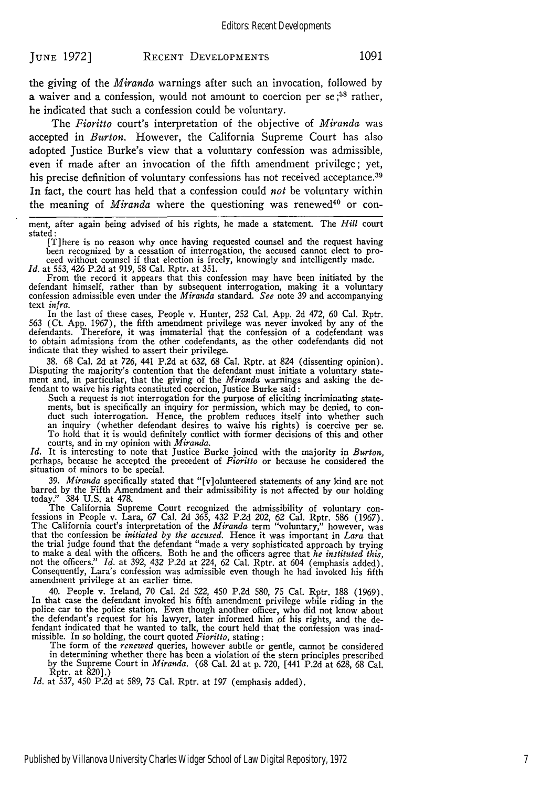the giving of the *Miranda* warnings after such an invocation, followed by a waiver and a confession, would not amount to coercion per se;<sup>58</sup> rather, he indicated that such a confession could be voluntary.

The *Fioritto* court's interpretation of the objective of *Miranda* was accepted in *Burton.* However, the California Supreme Court has also adopted Justice Burke's view that a voluntary confession was admissible, even if made after an invocation of the fifth amendment privilege; yet, his precise definition of voluntary confessions has not received acceptance.<sup>39</sup> In fact, the court has held that a confession could *not* be voluntary within the meaning of *Miranda* where the questioning was renewed<sup>40</sup> or con-

ment, after again being advised of his rights, he made a statement. The *Hill* court stated

d:<br>[T]here is no reason why once having requested counsel and the request having<br>been recognized by a cessation of interrogation, the accused cannot elect to pro-<br>ceed without counsel if that election is freely, knowingly

*Id.* at 553, 426 P.2d at 919, 58 Cal. Rptr. at 351.

From the record it appears that this confession may have been initiated by the defendant himself, rather than by subsequent interrogation, making it a voluntary confession admissible even under the *Miranda* standard. *See* note 39 and accompanying text infra.

In the last of these cases, People v. Hunter, 252 Cal. App. 2d 472, 60 Cal. Rptr. 563 (Ct. App. 1967), the fifth amendment privilege was never invoked by any of the defendants. Therefore, it was immaterial that the confession of a codefendant was to obtain admissions from the other codefendants, as the to obtain admissions from the other codefendants, as the other codefendants did not indicate that they wished to assert their privilege.

38. 68 Cal. 2d at 726, 441 P.2d at 632, 68 Cal. Rptr. at 824 (dissenting opinion). Disputing the majority's contention that the defendant must initiate a voluntary statement and, in particular, that the giving of the *Miranda* warnings and asking the defendant to waive his rights constituted coercion, Justice Burke said:

Such a request is not interrogation for the purpose of eliciting incriminating statements, but is specifically an inquiry for permission, which may be denied, to conduct such interrogation. Hence, the problem reduces itself into whether such an inquiry (whether defendant desires to waive his rights) is coercive per se.<br>To hold that it is would definitely conflict with former decisions courts, and in my opinion with *Miranda.*

*Id.* It is interesting to note that Justice Burke joined with the majority in *Burton,* perhaps, because he accepted the precedent of *Fioritto* or because he considered the situation of minors to be special.

*39. Miranda* specifically stated that "[v]olunteered statements of any kind are not barred by the Fifth Amendment and their admissibility is not affected by our holding today." 384 U.S. at 478.

The California Supreme Court recognized the admissibility of voluntary con- fessions in People v. Lara, 67 Cal. 2d 365, 432 P.2d 202, 62 Cal. Rptr. 586 (1967). The California court's interpretation of the *Miranda* term "voluntary," however, was that the confession be *initiated by the accused.* Hence it was important in *Lara* that the trial judge found that the defendant "made a very sophisticated approach by trying to make a deal with the officers. Both he and the officers agree that *he instituted this,* not the officers." *Id.* at 392, 432 P.2d at 224, 62 Cal. Rptr. at 604 (emphasis added). Consequently, Lara's confession was admissible even though he had invoked his fifth amendment privilege at an earlier time.

40. People v. Ireland, 70 Cal. 2d 522, 450 P.2d 580, 75 Cal. Rptr. 188 (1969). In that case the defendant invoked his fifth amendment privilege while riding in the police car to the police station. Even though another officer, who did not know about the defendant's request for his lawyer, later informed him of his rights, and the defendant indicated that he wanted to talk, the court held that the confession was inad-missible. In so holding, the court quoted *Fioritto,* stating:

The form of the *renewed* queries, however subtle or gentle, cannot be considered in determining whether there has been a violation of the stern principles prescribed by the Supreme Court in *Miranda.* (68 Cal. 2d at p. 720, [441 P.2d at 628, 68 Cal. Rptr. at 820].)

*Id.* at 537, 450 P.2d at 589, 75 Cal. Rptr. at 197 (emphasis added).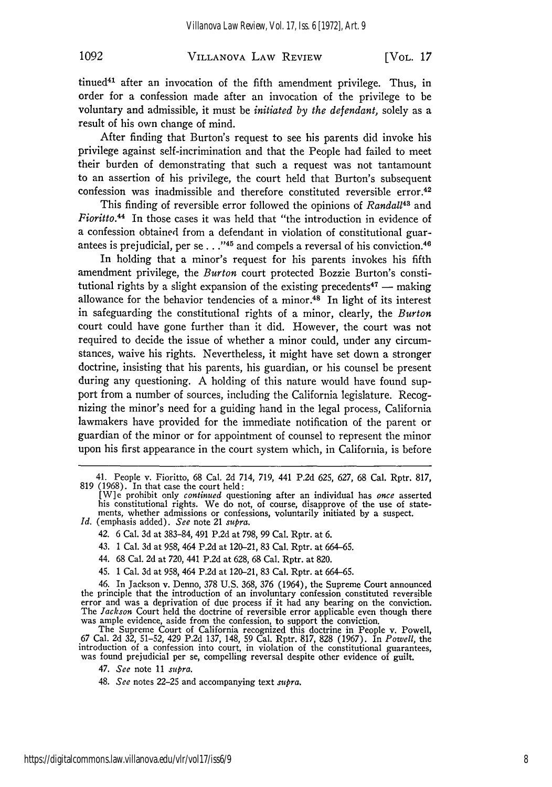## VILLANOVA LAW REVIEW **1092** [VOL. **17**

tinued<sup>41</sup> after an invocation of the fifth amendment privilege. Thus, in order for a confession made after an invocation of the privilege to be voluntary and admissible, it must be *initiated by the defendant,* solely as a result of his own change of mind.

After finding that Burton's request to see his parents did invoke his privilege against self-incrimination and that the People had failed to meet their burden of demonstrating that such a request was not tantamount to an assertion of his privilege, the court held that Burton's subsequent confession was inadmissible and therefore constituted reversible error.<sup>42</sup>

This finding of reversible error followed the opinions of *Randall43* and *Fioritto.44* In those cases it was held that "the introduction in evidence of a confession obtained from a defendant in violation of constitutional guarantees is prejudicial, per se..."<sup>45</sup> and compels a reversal of his conviction.<sup>46</sup>

In holding that a minor's request for his parents invokes his fifth amendment privilege, the *Burton* court protected Bozzie Burton's constitutional rights by a slight expansion of the existing precedents<sup>47</sup> - making allowance for the behavior tendencies of a minor.48 In light of its interest in safeguarding the constitutional rights of a minor, clearly, the *Burton* court could have gone further than it did. However, the court was not required to decide the issue of whether a minor could, under any circumstances, waive his rights. Nevertheless, it might have set down a stronger doctrine, insisting that his parents, his guardian, or his counsel be present during any questioning. A holding of this nature would have found support from a number of sources, including the California legislature. Recognizing the minor's need for a guiding hand in the legal process, California lawmakers have provided for the immediate notification of the parent or guardian of the minor or for appointment of counsel to represent the minor upon his first appearance in the court system which, in California, is before

- - 42. 6 Cal. 3d at 383-84, 491 P.2d at 798, 99 Cal. Rptr. at 6.
	- 43. 1 Cal. 3d at 958, 464 P.2d at 120-21, 83 Cal. Rptr. at 664-65.
	- 44. 68 Cal. 2d at 720, 441 P.2d at 628, 68 Cal. Rptr. at 820.
	- 45. 1 Cal. 3d at 958, 464 P.2d at 120-21, 83 Cal. Rptr. at 664-65.

46. In Jackson v. Denno, 378 U.S. 368, 376 (1964), the Supreme Court announced the principle that the introduction of an involuntary confession constituted reversible error and was a deprivation of due process if it had any bearing on the conviction. The *Jackson* Court held the doctrine of reversible error applicable even though there was ample evidence, aside from the confession, to support the conviction.

The Supreme Court of California recognized this doctrine in People v. Powell, 67 Cal. 2d 32, 51–52, 429 P.2d 137, 148, 59 Cal. Rptr. 817, 828 (1967). In *Powell*, the introduction of a confession into court, in violation of the constitutional guarantees, was found prejudicial per se, compelling rev

<sup>41.</sup> People v. Fioritto, 68 Cal. 2d 714, 719, 441 P.2d 625, 627, 68 Cal. Rptr. 817, 819 (1968). In that case the court held:

<sup>[</sup>W]e prohibit only *continued* questioning after an individual has *once* asserted his constitutional rights. We do not, of course, disapprove of the use of statements, whether admissions or confessions, voluntarily initiated by a suspect. *Id.* (emphasis added). *See* note 21 supra.

<sup>47.</sup> *See* note 11 *supra.*

<sup>48.</sup> *See* notes 22-25 and accompanying text *supra.*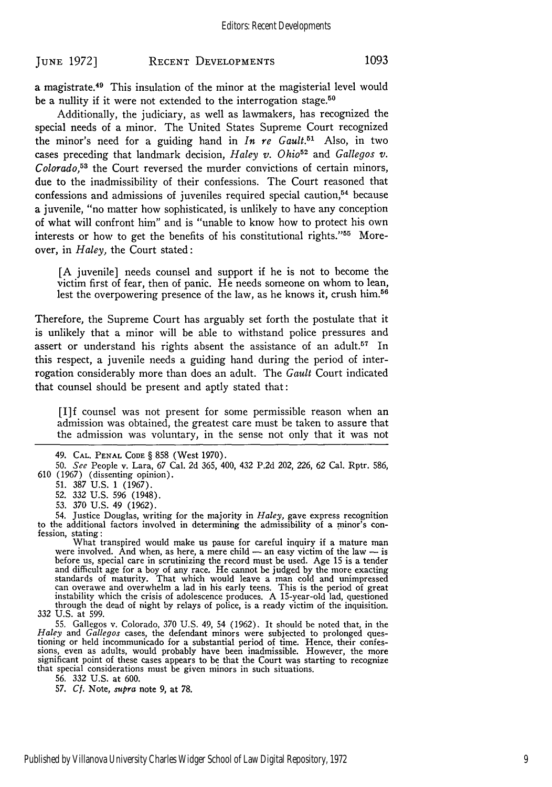## **RECENT DEVELOPMENTS JUNE 1972] 1093**

a magistrate.<sup>49</sup> This insulation of the minor at the magisterial level would be a nullity if it were not extended to the interrogation stage.<sup>50</sup>

Additionally, the judiciary, as well as lawmakers, has recognized the special needs of a minor. The United States Supreme Court recognized the minor's need for a guiding hand in *In re Gault.51* Also, in two cases preceding that landmark decision,  $Haley v$ . Ohio<sup>52</sup> and *Gallegos v. Colorado,5' 3* the Court reversed the murder convictions of certain minors, due to the inadmissibility of their confessions. The Court reasoned that confessions and admissions of juveniles required special caution,<sup>54</sup> because a juvenile, "no matter how sophisticated, is unlikely to have any conception of what will confront him" and is "unable to know how to protect his own interests or how to get the benefits of his constitutional rights."<sup>55</sup> Moreover, in *Haley,* the Court stated:

[A juvenile] needs counsel and support if he is not to become the victim first of fear, then of panic. He needs someone on whom to lean, lest the overpowering presence of the law, as he knows it, crush him.56

Therefore, the Supreme Court has arguably set forth the postulate that it is unlikely that a minor will be able to withstand police pressures and assert or understand his rights absent the assistance of an adult.<sup>57</sup> In this respect, a juvenile needs a guiding hand during the period of interrogation considerably more than does an adult. The *Gault* Court indicated that counsel should be present and aptly stated that:

[I]f counsel was not present for some permissible reason when an admission was obtained, the greatest care must be taken to assure that the admission was voluntary, in the sense not only that it was not

54. Justice Douglas, writing for the majority in *Haley,* gave express recognition to the additional factors involved in determining the admissibility of a minor's con- fession, stating:

fession, stating:<br>What transpired would make us pause for careful inquiry if a mature man<br>were involved. And when, as here, a mere child — an easy victim of the law — is before us, special care in scrutinizing the record must be used. Age 15 is a tender and difficult age for a boy of any race. He cannot be judged by the more exacting standards of maturity. That which would leave a man cold and unimpressed<br>can overawe and overwhelm a lad in his early teens. This is the period of great<br>instability which the crisis of adolescence produces. A 15-year-old l through the dead of night by relays of police, is a ready victim of the inquisition.<br>332 U.S. at 599.

55. Gallegos v. Colorado, 370 U.S. 49, 54 (1962). It should be noted that, in the *Haley* and *Gallegos* cases, the defendant minors were subjected to prolonged questioning or held incommunicado for a substantial period of time. Hence, their confessions, even as adults, would probably have been inadmissible. However, the more significant point of these cases appears to be that the Cou that special considerations must be given minors in such situations.

56. 332 U.S. at 600.

*57. Cf.* Note, *supra* note 9, at **78.**

<sup>49.</sup> **CAL. PENAL** CODE § 858 (West 1970).

<sup>50.</sup> *See* People v. Lara, 67 Cal. 2d 365, 400, 432 P.2d 202, 226, **62** Cal. Rptr. **586,** 610 (1967) (dissenting opinion).

<sup>51. 387</sup> U.S. 1 (1967).

<sup>52. 332</sup> U.S. 596 (1948).

<sup>53.</sup> 370 U.S. 49 (1962).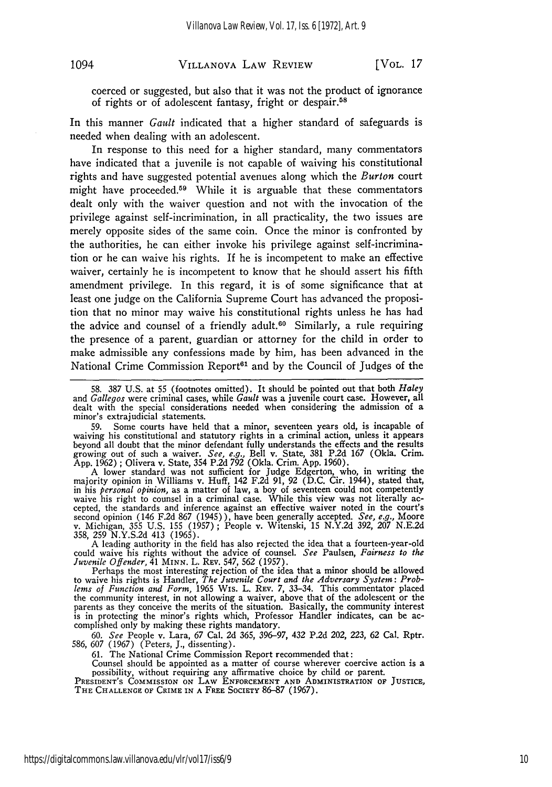## VILLANOVA LAW REVIEW 1094 [VOL. *17*

coerced or suggested, but also that it was not the product of ignorance of rights or of adolescent fantasy, fright or despair.<sup>58</sup>

In this manner *Gault* indicated that a higher standard of safeguards is needed when dealing with an adolescent.

In response to this need for a higher standard, many commentators have indicated that a juvenile is not capable of waiving his constitutional rights and have suggested potential avenues along which the *Burton* court might have proceeded.<sup>59</sup> While it is arguable that these commentators dealt only with the waiver question and not with the invocation of the privilege against self-incrimination, in all practicality, the two issues are merely opposite sides of the same coin. Once the minor is confronted by the authorities, he can either invoke his privilege against self-incrimination or he can waive his rights. If he is incompetent to make an effective waiver, certainly he is incompetent to know that he should assert his fifth amendment privilege. In this regard, it is of some significance that at least one judge on the California Supreme Court has advanced the proposition that no minor may waive his constitutional rights unless he has had the advice and counsel of a friendly adult.<sup>60</sup> Similarly, a rule requiring the presence of a parent, guardian or attorney for the child in order to make admissible any confessions made by him, has been advanced in the National Crime Commission Report<sup>61</sup> and by the Council of Judges of the

59. Some courts have held that a minor, seventeen years old, is incapable of waiving his constitutional and statutory rights in a criminal action, unless it appears beyond all doubt that the minor defendant fully understands the effects and the results growing out of such a waiver. *See, e.g.,* Bell v. State, 381 P.2d 167 (Okla. Crim. App. 1962) ; Olivera v. State, 354 P.2d 792 (Okla. Crim. App. 1960).

A lower standard was not sufficient for Judge Edgerton, who, in writing the majority opinion in Williams v. Huff, 142 F.2d 91, 92 (D.C. Cir. 1944), stated that, in his *personal opinion,* as a matter of law, a boy of seventeen could not competently waive his right to counsel in a criminal case. While this view was not literally ac-<br>cepted, the standards and inference against an effective waiver noted in the court's second opinion (146 F.2d 867 (1945)), have been generally accepted. *See, e.g.,* Moore v. Michigan, 355 U.S. 155 (1957) ; People v. Witenski, 15 N.Y.2d 392, 207 N.E.2d 358, 259 N.Y.S.2d 413 (1965).

A leading authority in the field has also rejected the idea that a fourteen-year-old could waive his rights without the advice of counsel. *See* Paulsen, *Fairness to the Juvenile Offender,* 41 **MINN.** L. REv. 547, 562 (1957).

Perhaps the most interesting rejection of the idea that a minor should be allowed to waive his rights is Handler, *The Juvenile Court and the Adversary System: Problems of Function and Form,* 1965 Wis. L. REV. 7, 33-34. This commentator placed the community interest, in not allowing a waiver, above that of the adolescent or the the community interest, in not allowing a waiver, above that of the adolescent or the parents as they conceive the merits of the situation. Basically, the community interest is in protecting the minor's rights which, Professor Handler indicates, can be ac- complished only by making these rights mandatory.

60. *See* People v. Lara, 67 Cal. 2d 365, 396-97, 432 P.2d 202, *223,* 62 Cal. Rptr. 586, 607 (1967) (Peters, J., dissenting).

61. The National Crime Commission Report recommended that:<br>Counsel should be appointed as a matter of course wherever coercive action is a possibility, without requiring any affirmative choice by child or parent.<br>PRESIDENT'S COMMISSION ON LAW ENFORCEMENT AND ADMINISTRATION OF JUSTICE,

THE **CHALLENGE** OF CRIME IN **A** FREE SOCIETY 86-87 (1967).

<sup>58. 387</sup> U.S. at 55 (footnotes omitted). It should be pointed out that both *Haley* and *Gallegos* were criminal cases, while *Gault* was a juvenile court case. However, all dealt with the special considerations needed when considering the admission of a minor's extrajudicial statements.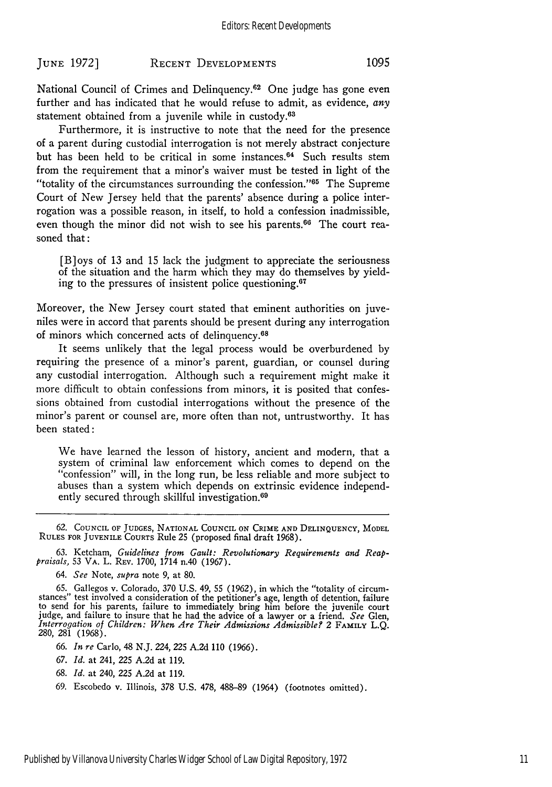National Council of Crimes and Delinquency.<sup>62</sup> One judge has gone even further and has indicated that he would refuse to admit, as evidence, *any* statement obtained from a juvenile while in custody.<sup>63</sup>

Furthermore, it is instructive to note that the need for the presence of a parent during custodial interrogation is not merely abstract conjecture but has been held to be critical in some instances. 64 Such results stem from the requirement that a minor's waiver must be tested in light of the "totality of the circumstances surrounding the confession."<sup>65</sup> The Supreme Court of New Jersey held that the parents' absence during a police interrogation was a possible reason, in itself, to hold a confession inadmissible, even though the minor did not wish to see his parents.<sup>66</sup> The court reasoned that:

[B]oys of 13 and 15 lack the judgment to appreciate the seriousness of the situation and the harm which they may do themselves by yielding to the pressures of insistent police questioning. <sup>67</sup>

Moreover, the New Jersey court stated that eminent authorities on juveniles were in accord that parents should be present during any interrogation of minors which concerned acts of delinquency.<sup>68</sup>

It seems unlikely that the legal process would be overburdened by requiring the presence of a minor's parent, guardian, or counsel during any custodial interrogation. Although such a requirement might make it more difficult to obtain confessions from minors, it is posited that confessions obtained from custodial interrogations without the presence of the minor's parent or counsel are, more often than not, untrustworthy. It has been stated:

We have learned the lesson of history, ancient and modern, that a system of criminal law enforcement which comes to depend on the "confession" will, in the long run, be less reliable and more subject to abuses than a system which depends on extrinsic evidence independently secured through skillful investigation.<sup>69</sup>

62. **COUNCIL OF** JUDGES, NATIONAL **COUNCIL ON** CRIME **AND DELINQUENCY,** MODEL **RULES** FOR JUVENILE COURTS Rule 25 (proposed final draft 1968).

*63.* Ketcham, *Guidelines from Gault: Revolutionary Requirements and Reappraisals,* 53 VA. L. REV. 1700, 1714 n.40 (1967).

- 66. *In re* Carlo, 48 N.J. *224,* 225 A.2d 110 (1966).
- 67. *Id.* at 241, 225 A.2d at 119.
- 68. *Id.* at 240, **225** A.2d at 119.
- 69. Escobedo v. Illinois, 378 U.S. 478, 488-89 (1964) (footnotes omitted).

<sup>64.</sup> *See* Note, *supra* note 9, at 80.

<sup>65.</sup> Gallegos v. Colorado, 370 U.S. **49,** 55 (1962), in which the "totality of circum-stances" test involved a consideration of the petitioner's age, length of detention, failure to send for his parents, failure to immediately bring him before the juvenile court judge, and failure to insure that he had the advice of a lawyer or a friend. *See* Glen, *Interrogation of Children: When Are Their Admissions Admissible? 2 FAMILY L.Q.* 280, 281 (1968).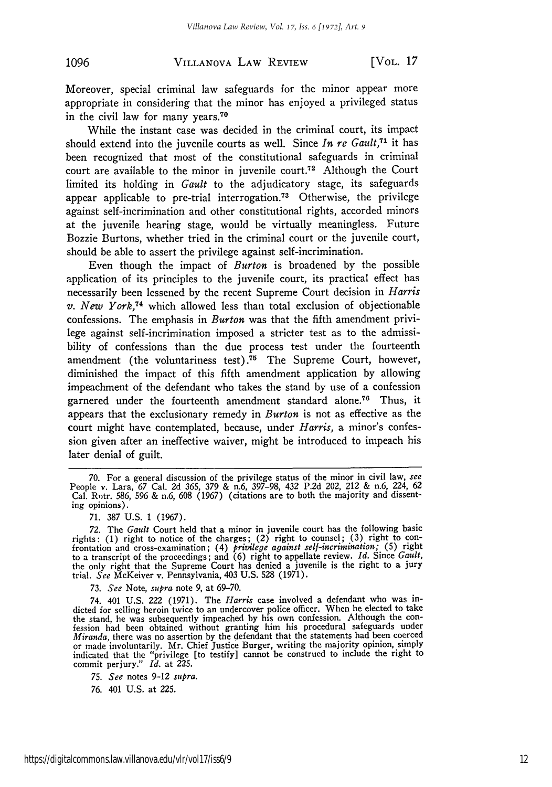#### VILLANOVA LAW REVIEW **1096** [VOL. *17*

Moreover, special criminal law safeguards for the minor appear more appropriate in considering that the minor has enjoyed a privileged status in the civil law for many years.<sup>70</sup>

While the instant case was decided in the criminal court, its impact should extend into the juvenile courts as well. Since *In re Gault*,<sup>71</sup> it has been recognized that most of the constitutional safeguards in criminal court are available to the minor in juvenile court.<sup>72</sup> Although the Court limited its holding in *Gault* to the adjudicatory stage, its safeguards appear applicable to pre-trial interrogation.<sup>73</sup> Otherwise, the privilege against self-incrimination and other constitutional rights, accorded minors at the juvenile hearing stage, would be virtually meaningless. Future Bozzie Burtons, whether tried in the criminal court or the juvenile court, should be able to assert the privilege against self-incrimination.

Even though the impact of *Burton* is broadened by the possible application of its principles to the juvenile court, its practical effect has necessarily been lessened by the recent Supreme Court decision in *Harris v. New York*,<sup>74</sup> which allowed less than total exclusion of objectionable confessions. The emphasis in *Burton* was that the fifth amendment privilege against self-incrimination imposed a stricter test as to the admissibility of confessions than the due process test under the fourteenth amendment (the voluntariness test).<sup>75</sup> The Supreme Court, however, diminished the impact of this fifth amendment application by allowing impeachment of the defendant who takes the stand by use of a confession garnered under the fourteenth amendment standard alone.76 Thus, it appears that the exclusionary remedy in *Burton* is not as effective as the court might have contemplated, because, under *Harris,* a minor's confession given after an ineffective waiver, might be introduced to impeach his later denial of guilt.

*73. See* Note, *supra* note 9, at 69-70.

<sup>70.</sup> For a general discussion of the privilege status of the minor in civil law, *see* People v. Lara, 67 Cal. 2d 365, 379 & n.6, 397-98, 432 P.2d 202, 212 & n.6, 224, 62 Cal. Rntr. 586, 596 & n.6, 608 (1967) (citations are to both the majority and dissenting opinions).

<sup>71. 387</sup> U.S. 1 (1967).

<sup>72.</sup> The *Gault* Court held that a minor in juvenile court has the following basic rights: (1) right to notice of the charges; (2) right to counsel; **(3)** right to confrontation and cross-examination; (4) *privilege against self-incrimination;* (5) right to a transcript of the proceedings; and (6) right to appellate review. *Id.* Since *Gault,* the only right that the Supreme Court has denied a juvenile is the right to a jury trial. *See* McKeiver v. Pennsylvania, 403 U.S. 528 (1971).

<sup>74. 401</sup> U.S. *222* (1971). The *Harris* case involved a defendant who was indicted for selling heroin twice to an undercover police officer. When he elected to take the stand, he was subsequently impeached by his own confession. Although the con- fession had been obtained without granting him his procedural safeguards under *Miranda,* there was no assertion by the defendant that the statements had been coerced or made involuntarily. Mr. Chief Justice Burger, writing the majority opinion, simply indicated that the "privilege [to testify] cannot be construed to include the right to commit perjury." *Id.* at 225.

*<sup>75.</sup> See* notes 9-12 *supra.*

<sup>76. 401</sup> U.S. at 225.